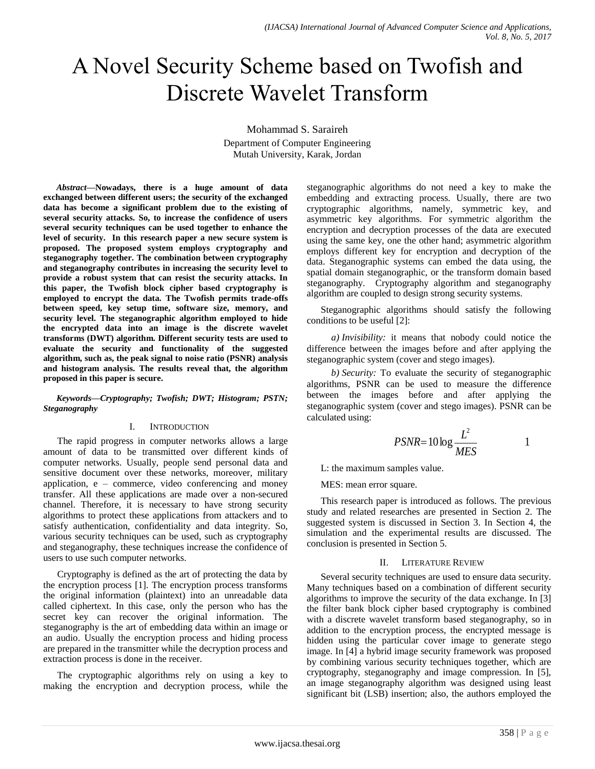# A Novel Security Scheme based on Twofish and Discrete Wavelet Transform

Mohammad S. Saraireh

Department of Computer Engineering Mutah University, Karak, Jordan

*Abstract***—Nowadays, there is a huge amount of data exchanged between different users; the security of the exchanged data has become a significant problem due to the existing of several security attacks. So, to increase the confidence of users several security techniques can be used together to enhance the level of security. In this research paper a new secure system is proposed. The proposed system employs cryptography and steganography together. The combination between cryptography and steganography contributes in increasing the security level to provide a robust system that can resist the security attacks. In this paper, the Twofish block cipher based cryptography is employed to encrypt the data. The Twofish permits trade-offs between speed, key setup time, software size, memory, and security level. The steganographic algorithm employed to hide the encrypted data into an image is the discrete wavelet transforms (DWT) algorithm. Different security tests are used to evaluate the security and functionality of the suggested algorithm, such as, the peak signal to noise ratio (PSNR) analysis and histogram analysis. The results reveal that, the algorithm proposed in this paper is secure.**

### *Keywords—Cryptography; Twofish; DWT; Histogram; PSTN; Steganography*

# I. INTRODUCTION

The rapid progress in computer networks allows a large amount of data to be transmitted over different kinds of computer networks. Usually, people send personal data and sensitive document over these networks, moreover, military application, e – commerce, video conferencing and money transfer. All these applications are made over a non-secured channel. Therefore, it is necessary to have strong security algorithms to protect these applications from attackers and to satisfy authentication, confidentiality and data integrity. So, various security techniques can be used, such as cryptography and steganography, these techniques increase the confidence of users to use such computer networks.

Cryptography is defined as the art of protecting the data by the encryption process [1]. The encryption process transforms the original information (plaintext) into an unreadable data called ciphertext. In this case, only the person who has the secret key can recover the original information. The steganography is the art of embedding data within an image or an audio. Usually the encryption process and hiding process are prepared in the transmitter while the decryption process and extraction process is done in the receiver.

The cryptographic algorithms rely on using a key to making the encryption and decryption process, while the steganographic algorithms do not need a key to make the embedding and extracting process. Usually, there are two cryptographic algorithms, namely, symmetric key, and asymmetric key algorithms. For symmetric algorithm the encryption and decryption processes of the data are executed using the same key, one the other hand; asymmetric algorithm employs different key for encryption and decryption of the data. Steganographic systems can embed the data using, the spatial domain steganographic, or the transform domain based steganography. Cryptography algorithm and steganography algorithm are coupled to design strong security systems.

Steganographic algorithms should satisfy the following conditions to be useful [2]:

*a) Invisibility:* it means that nobody could notice the difference between the images before and after applying the steganographic system (cover and stego images).

*b) Security:* To evaluate the security of steganographic algorithms, PSNR can be used to measure the difference between the images before and after applying the steganographic system (cover and stego images). PSNR can be calculated using:

$$
PSNR = 10 \log \frac{L^2}{MES} \tag{1}
$$

L: the maximum samples value.

MES: mean error square.

This research paper is introduced as follows. The previous study and related researches are presented in Section 2. The suggested system is discussed in Section 3. In Section 4, the simulation and the experimental results are discussed. The conclusion is presented in Section 5.

# II. LITERATURE REVIEW

Several security techniques are used to ensure data security. Many techniques based on a combination of different security algorithms to improve the security of the data exchange. In [3] the filter bank block cipher based cryptography is combined with a discrete wavelet transform based steganography, so in addition to the encryption process, the encrypted message is hidden using the particular cover image to generate stego image. In [4] a hybrid image security framework was proposed by combining various security techniques together, which are cryptography, steganography and image compression. In [5], an image steganography algorithm was designed using least significant bit (LSB) insertion; also, the authors employed the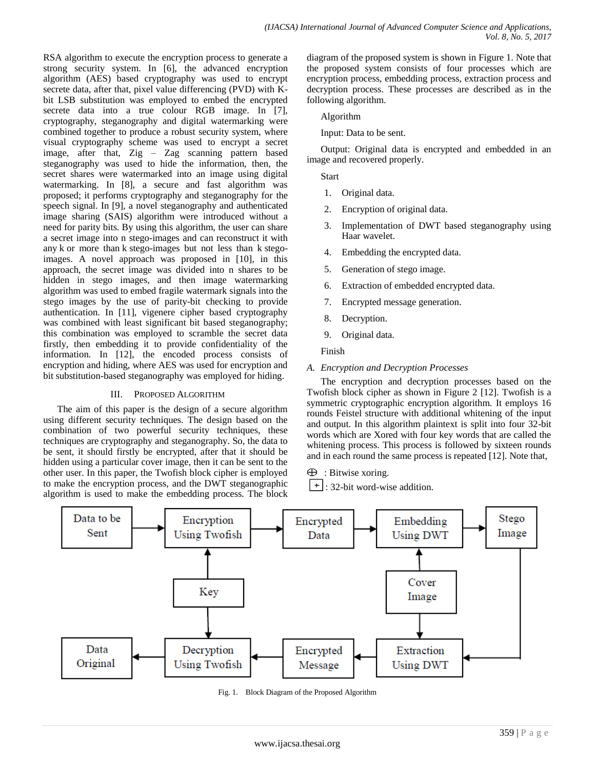RSA algorithm to execute the encryption process to generate a strong security system. In [6], the advanced encryption algorithm (AES) based cryptography was used to encrypt secrete data, after that, pixel value differencing (PVD) with Kbit LSB substitution was employed to embed the encrypted secrete data into a true colour RGB image. In [7], cryptography, steganography and digital watermarking were combined together to produce a robust security system, where visual cryptography scheme was used to encrypt a secret image, after that, Zig – Zag scanning pattern based steganography was used to hide the information, then, the secret shares were watermarked into an image using digital watermarking. In [8], a secure and fast algorithm was proposed; it performs cryptography and steganography for the speech signal. In [9], a novel steganography and authenticated image sharing (SAIS) algorithm were introduced without a need for parity bits. By using this algorithm, the user can share a secret image into n stego-images and can reconstruct it with any k or more than k stego-images but not less than k stegoimages. A novel approach was proposed in [10], in this approach, the secret image was divided into n shares to be hidden in stego images, and then image watermarking algorithm was used to embed fragile watermark signals into the stego images by the use of parity-bit checking to provide authentication. In [11], vigenere cipher based cryptography was combined with least significant bit based steganography; this combination was employed to scramble the secret data firstly, then embedding it to provide confidentiality of the information. In [12], the encoded process consists of encryption and hiding, where AES was used for encryption and bit substitution-based steganography was employed for hiding.

# III. PROPOSED ALGORITHM

The aim of this paper is the design of a secure algorithm using different security techniques. The design based on the combination of two powerful security techniques, these techniques are cryptography and steganography. So, the data to be sent, it should firstly be encrypted, after that it should be hidden using a particular cover image, then it can be sent to the other user. In this paper, the Twofish block cipher is employed to make the encryption process, and the DWT steganographic algorithm is used to make the embedding process. The block diagram of the proposed system is shown in Figure 1. Note that the proposed system consists of four processes which are encryption process, embedding process, extraction process and decryption process. These processes are described as in the following algorithm.

Algorithm

Input: Data to be sent.

Output: Original data is encrypted and embedded in an image and recovered properly.

**Start** 

- 1. Original data.
- 2. Encryption of original data.
- 3. Implementation of DWT based steganography using Haar wavelet.
- 4. Embedding the encrypted data.
- 5. Generation of stego image.
- 6. Extraction of embedded encrypted data.
- 7. Encrypted message generation.
- 8. Decryption.
- 9. Original data.

Finish

# *A. Encryption and Decryption Processes*

The encryption and decryption processes based on the Twofish block cipher as shown in Figure 2 [12]. Twofish is a symmetric cryptographic encryption algorithm. It employs 16 rounds Feistel structure with additional whitening of the input and output. In this algorithm plaintext is split into four 32-bit words which are Xored with four key words that are called the whitening process. This process is followed by sixteen rounds and in each round the same process is repeated [12]. Note that,

 $\oplus$  : Bitwise xoring.

 $+$ : 32-bit word-wise addition.



Fig. 1. Block Diagram of the Proposed Algorithm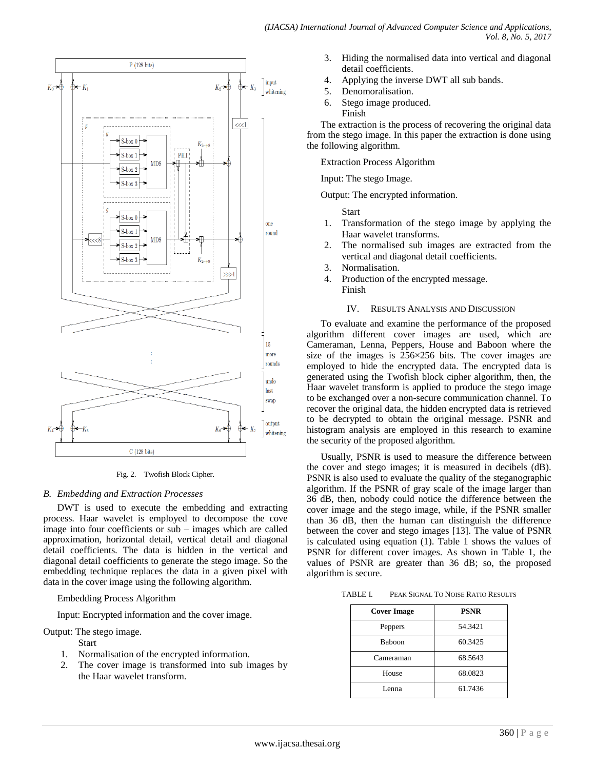

Fig. 2. Twofish Block Cipher.

# *B. Embedding and Extraction Processes*

DWT is used to execute the embedding and extracting process. Haar wavelet is employed to decompose the cove image into four coefficients or sub – images which are called approximation, horizontal detail, vertical detail and diagonal detail coefficients. The data is hidden in the vertical and diagonal detail coefficients to generate the stego image. So the embedding technique replaces the data in a given pixel with data in the cover image using the following algorithm.

Embedding Process Algorithm

Input: Encrypted information and the cover image.

Output: The stego image.

- Start
- 1. Normalisation of the encrypted information.
- 2. The cover image is transformed into sub images by the Haar wavelet transform.
- *(IJACSA) International Journal of Advanced Computer Science and Applications, Vol. 8, No. 5, 2017*
	- 3. Hiding the normalised data into vertical and diagonal detail coefficients.
	- 4. Applying the inverse DWT all sub bands.
	- 5. Denomoralisation.
	- 6. Stego image produced. Finish

The extraction is the process of recovering the original data from the stego image. In this paper the extraction is done using the following algorithm.

Extraction Process Algorithm

Input: The stego Image.

Output: The encrypted information.

Start

- 1. Transformation of the stego image by applying the Haar wavelet transforms.
- 2. The normalised sub images are extracted from the vertical and diagonal detail coefficients.
- 3. Normalisation.
- 4. Production of the encrypted message. Finish

# IV. RESULTS ANALYSIS AND DISCUSSION

To evaluate and examine the performance of the proposed algorithm different cover images are used, which are Cameraman, Lenna, Peppers, House and Baboon where the size of the images is 256×256 bits. The cover images are employed to hide the encrypted data. The encrypted data is generated using the Twofish block cipher algorithm, then, the Haar wavelet transform is applied to produce the stego image to be exchanged over a non-secure communication channel. To recover the original data, the hidden encrypted data is retrieved to be decrypted to obtain the original message. PSNR and histogram analysis are employed in this research to examine the security of the proposed algorithm.

Usually, PSNR is used to measure the difference between the cover and stego images; it is measured in decibels (dB). PSNR is also used to evaluate the quality of the steganographic algorithm. If the PSNR of gray scale of the image larger than 36 dB, then, nobody could notice the difference between the cover image and the stego image, while, if the PSNR smaller than 36 dB, then the human can distinguish the difference between the cover and stego images [13]. The value of PSNR is calculated using equation (1). Table 1 shows the values of PSNR for different cover images. As shown in Table 1, the values of PSNR are greater than 36 dB; so, the proposed algorithm is secure.

TABLE I. PEAK SIGNAL TO NOISE RATIO RESULTS

| <b>Cover Image</b> | <b>PSNR</b> |
|--------------------|-------------|
| Peppers            | 54.3421     |
| <b>Baboon</b>      | 60.3425     |
| Cameraman          | 68.5643     |
| House              | 68.0823     |
| Lenna              | 61.7436     |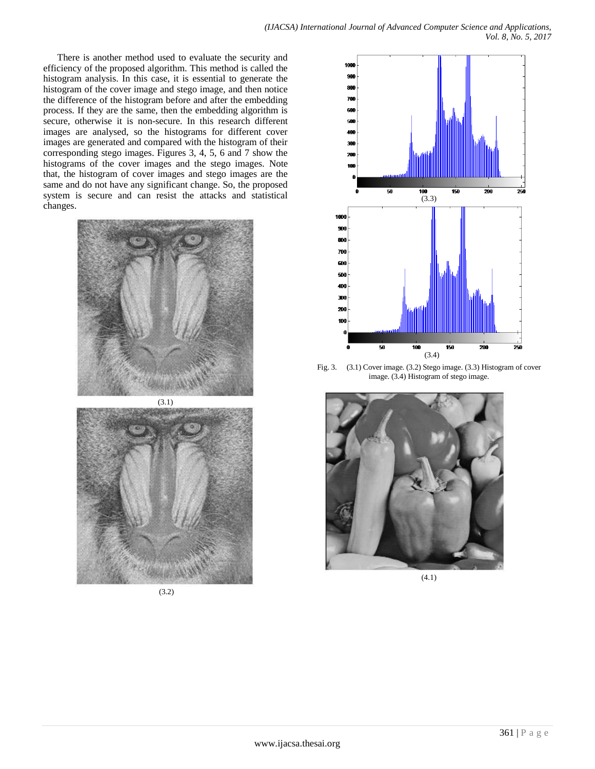There is another method used to evaluate the security and efficiency of the proposed algorithm. This method is called the histogram analysis. In this case, it is essential to generate the histogram of the cover image and stego image, and then notice the difference of the histogram before and after the embedding process. If they are the same, then the embedding algorithm is secure, otherwise it is non-secure. In this research different images are analysed, so the histograms for different cover images are generated and compared with the histogram of their corresponding stego images. Figures 3, 4, 5, 6 and 7 show the histograms of the cover images and the stego images. Note that, the histogram of cover images and stego images are the same and do not have any significant change. So, the proposed system is secure and can resist the attacks and statistical changes.



(3.1)





Fig. 3. (3.1) Cover image. (3.2) Stego image. (3.3) Histogram of cover image. (3.4) Histogram of stego image.



(4.1)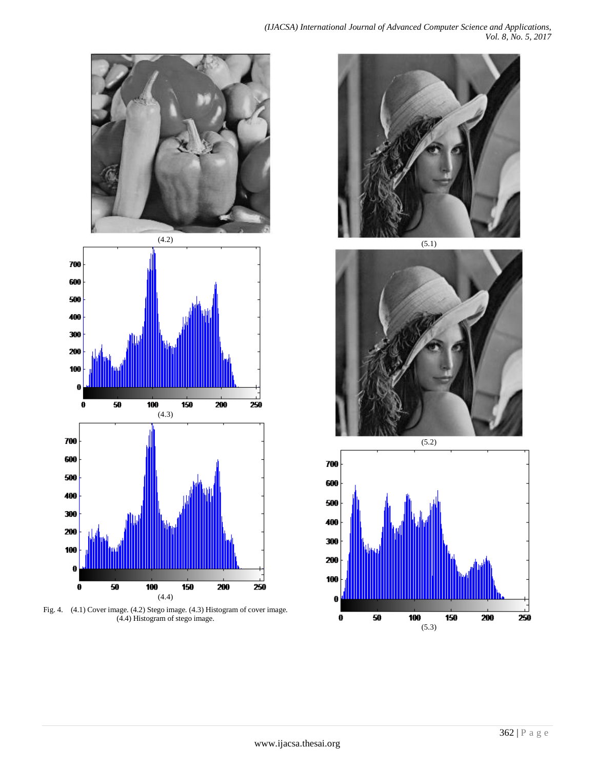

Fig. 4. (4.1) Cover image. (4.2) Stego image. (4.3) Histogram of cover image. (4.4) Histogram of stego image.



 $(5.1)$ 



 $(5.2)$ 700 600 500 400 300 200 100  $\pmb{0}$  $\boldsymbol{0}$ 50 100 150 200 250 (5.3)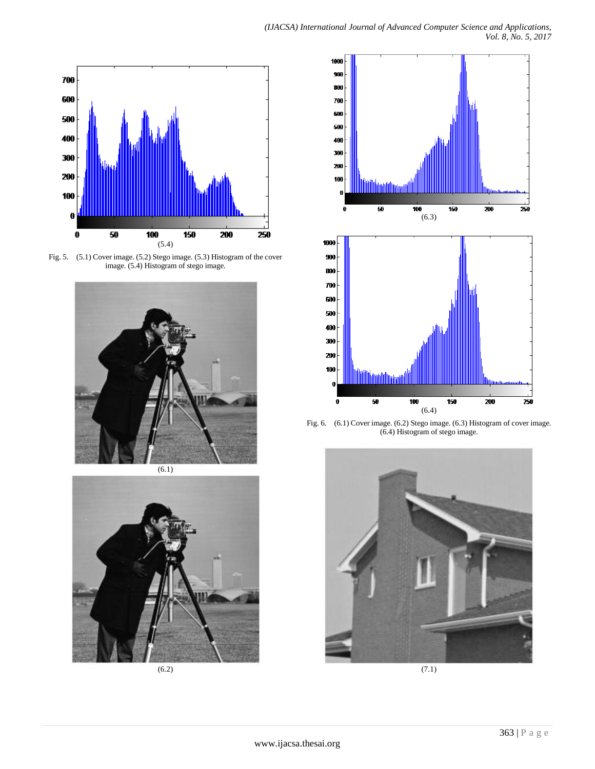

Fig. 5. (5.1) Cover image. (5.2) Stego image. (5.3) Histogram of the cover image. (5.4) Histogram of stego image.



 $(6.1)$ 



(6.2)



Fig. 6. (6.1) Cover image. (6.2) Stego image. (6.3) Histogram of cover image. (6.4) Histogram of stego image.



(7.1)